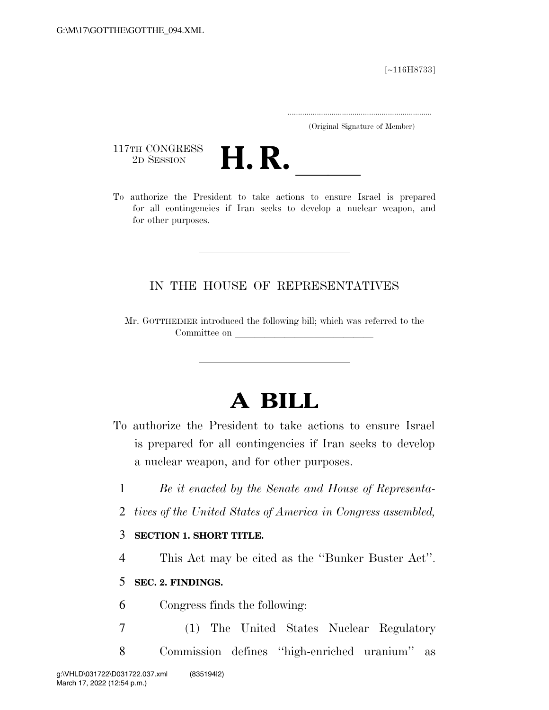[∼116H8733]

.....................................................................

(Original Signature of Member)

117TH CONGRESS<br>2D SESSION



117TH CONGRESS<br>
2D SESSION<br>
To authorize the President to take actions to ensure Israel is prepared for all contingencies if Iran seeks to develop a nuclear weapon, and for other purposes.

# IN THE HOUSE OF REPRESENTATIVES

Mr. GOTTHEIMER introduced the following bill; which was referred to the Committee on

# **A BILL**

- To authorize the President to take actions to ensure Israel is prepared for all contingencies if Iran seeks to develop a nuclear weapon, and for other purposes.
	- 1 *Be it enacted by the Senate and House of Representa-*
	- 2 *tives of the United States of America in Congress assembled,*

## 3 **SECTION 1. SHORT TITLE.**

4 This Act may be cited as the ''Bunker Buster Act''.

# 5 **SEC. 2. FINDINGS.**

6 Congress finds the following:

7 (1) The United States Nuclear Regulatory 8 Commission defines ''high-enriched uranium'' as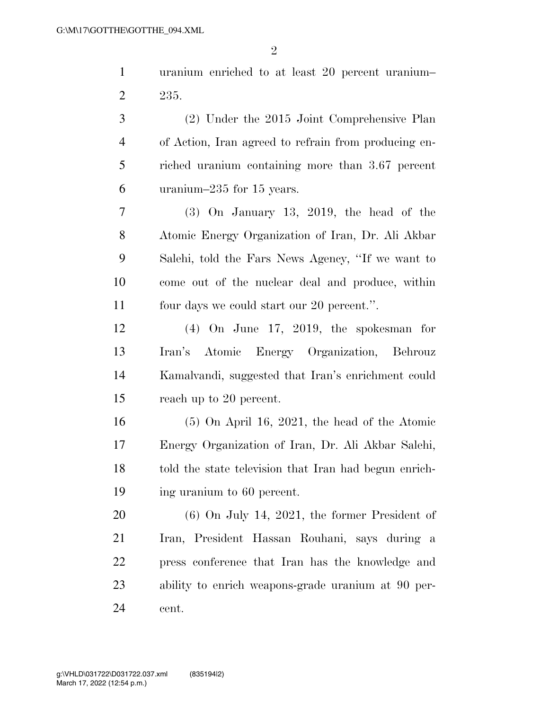uranium enriched to at least 20 percent uranium– 235.

 (2) Under the 2015 Joint Comprehensive Plan of Action, Iran agreed to refrain from producing en- riched uranium containing more than 3.67 percent uranium–235 for 15 years.

 (3) On January 13, 2019, the head of the Atomic Energy Organization of Iran, Dr. Ali Akbar Salehi, told the Fars News Agency, ''If we want to come out of the nuclear deal and produce, within four days we could start our 20 percent.''.

 (4) On June 17, 2019, the spokesman for Iran's Atomic Energy Organization, Behrouz Kamalvandi, suggested that Iran's enrichment could reach up to 20 percent.

 (5) On April 16, 2021, the head of the Atomic Energy Organization of Iran, Dr. Ali Akbar Salehi, told the state television that Iran had begun enrich-ing uranium to 60 percent.

 (6) On July 14, 2021, the former President of Iran, President Hassan Rouhani, says during a press conference that Iran has the knowledge and ability to enrich weapons-grade uranium at 90 per-cent.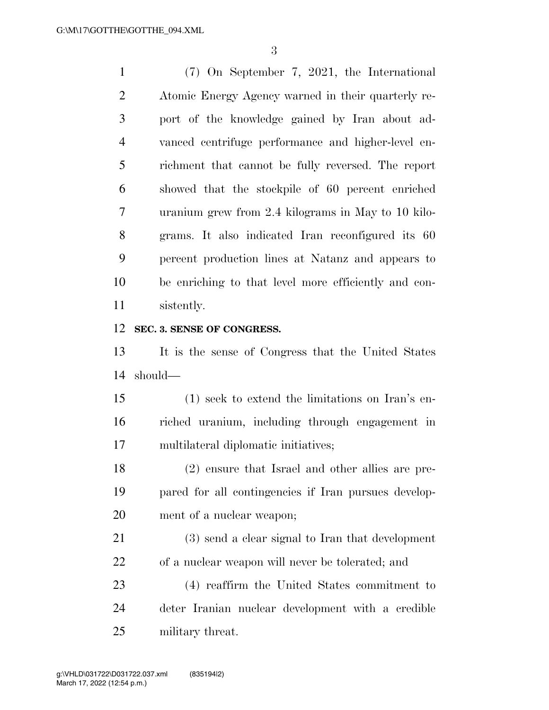(7) On September 7, 2021, the International Atomic Energy Agency warned in their quarterly re- port of the knowledge gained by Iran about ad- vanced centrifuge performance and higher-level en- richment that cannot be fully reversed. The report showed that the stockpile of 60 percent enriched uranium grew from 2.4 kilograms in May to 10 kilo- grams. It also indicated Iran reconfigured its 60 percent production lines at Natanz and appears to be enriching to that level more efficiently and con-sistently.

#### **SEC. 3. SENSE OF CONGRESS.**

 It is the sense of Congress that the United States should—

 (1) seek to extend the limitations on Iran's en- riched uranium, including through engagement in multilateral diplomatic initiatives;

 (2) ensure that Israel and other allies are pre- pared for all contingencies if Iran pursues develop-ment of a nuclear weapon;

 (3) send a clear signal to Iran that development of a nuclear weapon will never be tolerated; and

 (4) reaffirm the United States commitment to deter Iranian nuclear development with a credible military threat.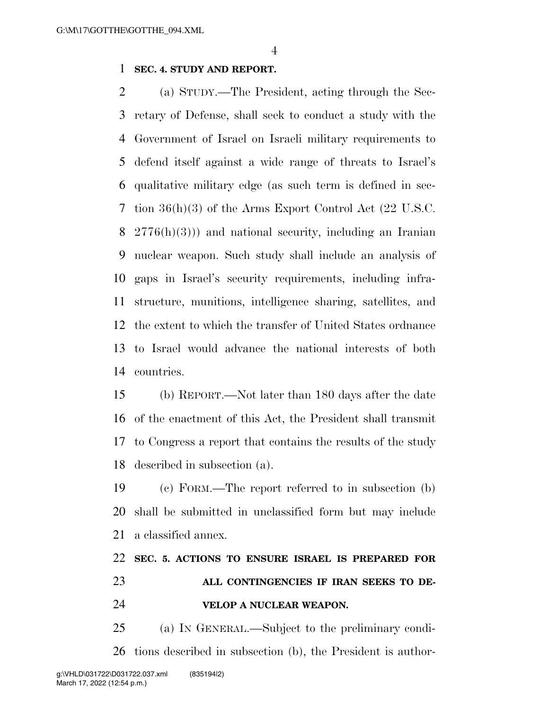## **SEC. 4. STUDY AND REPORT.**

 (a) STUDY.—The President, acting through the Sec- retary of Defense, shall seek to conduct a study with the Government of Israel on Israeli military requirements to defend itself against a wide range of threats to Israel's qualitative military edge (as such term is defined in sec- tion 36(h)(3) of the Arms Export Control Act (22 U.S.C. 2776(h)(3))) and national security, including an Iranian nuclear weapon. Such study shall include an analysis of gaps in Israel's security requirements, including infra- structure, munitions, intelligence sharing, satellites, and the extent to which the transfer of United States ordnance to Israel would advance the national interests of both countries.

 (b) REPORT.—Not later than 180 days after the date of the enactment of this Act, the President shall transmit to Congress a report that contains the results of the study described in subsection (a).

 (c) FORM.—The report referred to in subsection (b) shall be submitted in unclassified form but may include a classified annex.

## **SEC. 5. ACTIONS TO ENSURE ISRAEL IS PREPARED FOR**

 **ALL CONTINGENCIES IF IRAN SEEKS TO DE-VELOP A NUCLEAR WEAPON.** 

 (a) IN GENERAL.—Subject to the preliminary condi-tions described in subsection (b), the President is author-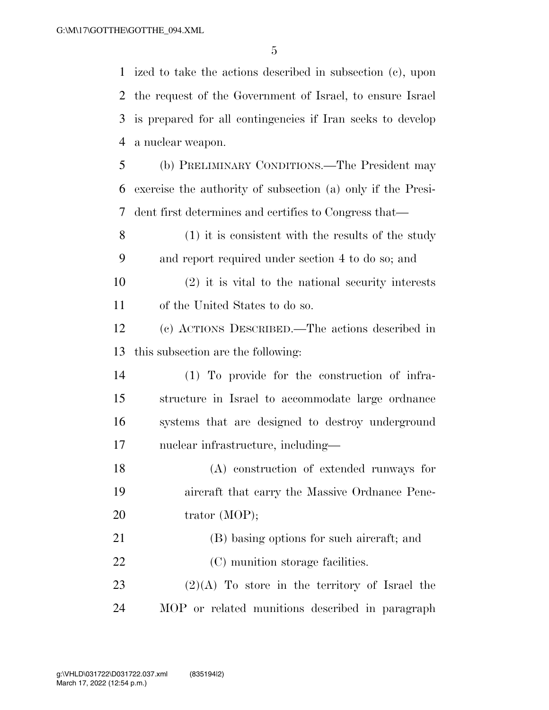ized to take the actions described in subsection (c), upon the request of the Government of Israel, to ensure Israel is prepared for all contingencies if Iran seeks to develop a nuclear weapon. (b) PRELIMINARY CONDITIONS.—The President may

 exercise the authority of subsection (a) only if the Presi-dent first determines and certifies to Congress that—

 (1) it is consistent with the results of the study and report required under section 4 to do so; and

 (2) it is vital to the national security interests of the United States to do so.

 (c) ACTIONS DESCRIBED.—The actions described in this subsection are the following:

 (1) To provide for the construction of infra- structure in Israel to accommodate large ordnance systems that are designed to destroy underground nuclear infrastructure, including—

 (A) construction of extended runways for aircraft that carry the Massive Ordnance Pene-20 trator (MOP);

(B) basing options for such aircraft; and

22 (C) munition storage facilities.

23  $(2)(A)$  To store in the territory of Israel the MOP or related munitions described in paragraph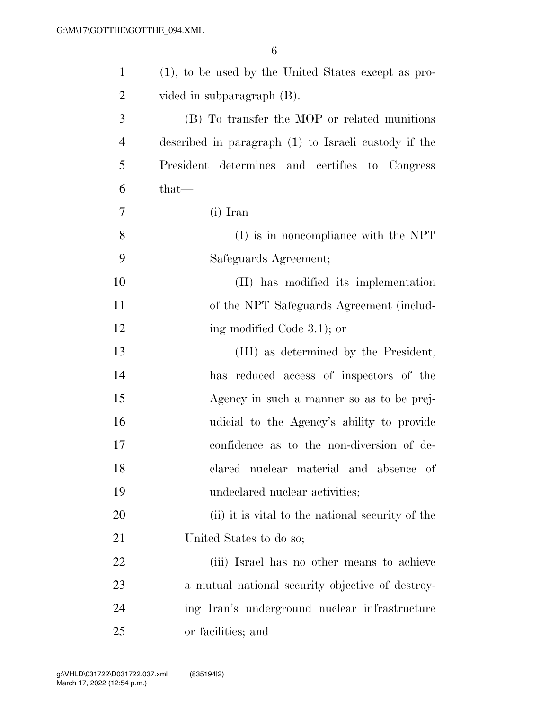| $\mathbf{1}$   | (1), to be used by the United States except as pro-  |
|----------------|------------------------------------------------------|
| $\overline{2}$ | vided in subparagraph (B).                           |
| 3              | (B) To transfer the MOP or related munitions         |
| $\overline{4}$ | described in paragraph (1) to Israeli custody if the |
| 5              | President determines and certifies to Congress       |
| 6              | $that-$                                              |
| 7              | $(i)$ Iran—                                          |
| 8              | $(I)$ is in noncompliance with the NPT               |
| 9              | Safeguards Agreement;                                |
| 10             | (II) has modified its implementation                 |
| 11             | of the NPT Safeguards Agreement (includ-             |
| 12             | ing modified Code 3.1); or                           |
| 13             | (III) as determined by the President,                |
| 14             | has reduced access of inspectors of the              |
| 15             | Agency in such a manner so as to be prej-            |
| 16             | udicial to the Agency's ability to provide           |
| 17             | confidence as to the non-diversion of de-            |
| 18             | clared nuclear material and absence of               |
| 19             | undeclared nuclear activities;                       |
| 20             | (ii) it is vital to the national security of the     |
| 21             | United States to do so;                              |
| 22             | (iii) Israel has no other means to achieve           |
| 23             | a mutual national security objective of destroy-     |
| 24             | ing Iran's underground nuclear infrastructure        |
| 25             | or facilities; and                                   |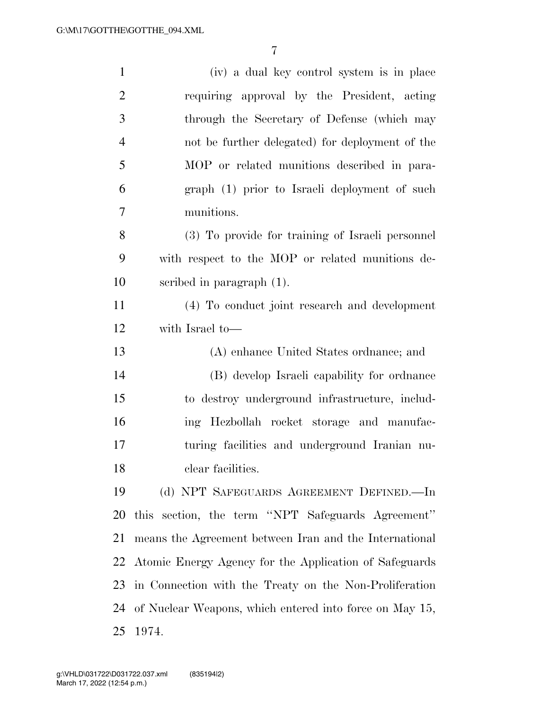| $\mathbf{1}$   | (iv) a dual key control system is in place              |
|----------------|---------------------------------------------------------|
| $\overline{2}$ | requiring approval by the President, acting             |
| 3              | through the Secretary of Defense (which may             |
| $\overline{4}$ | not be further delegated) for deployment of the         |
| $\mathfrak{S}$ | MOP or related munitions described in para-             |
| 6              | graph (1) prior to Israeli deployment of such           |
| 7              | munitions.                                              |
| 8              | (3) To provide for training of Israeli personnel        |
| 9              | with respect to the MOP or related munitions de-        |
| 10             | scribed in paragraph $(1)$ .                            |
| 11             | (4) To conduct joint research and development           |
| 12             | with Israel to-                                         |
| 13             | (A) enhance United States ordinance; and                |
| 14             | (B) develop Israeli capability for ordinance            |
| 15             | to destroy underground infrastructure, includ-          |
| 16             | ing Hezbollah rocket storage and manufac-               |
| 17             | turing facilities and underground Iranian nu-           |
| 18             | clear facilities.                                       |
| 19             | (d) NPT SAFEGUARDS AGREEMENT DEFINED.—In                |
| 20             | this section, the term "NPT Safeguards Agreement"       |
| 21             | means the Agreement between Iran and the International  |
| 22             | Atomic Energy Agency for the Application of Safeguards  |
| 23             | in Connection with the Treaty on the Non-Proliferation  |
| 24             | of Nuclear Weapons, which entered into force on May 15, |
| 25             | 1974.                                                   |